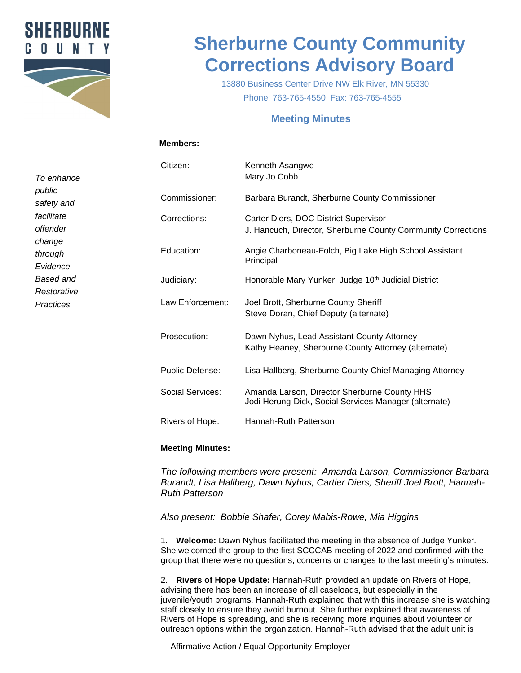

# **Sherburne County Community Corrections Advisory Board**

13880 Business Center Drive NW Elk River, MN 55330 Phone: 763-765-4550 Fax: 763-765-4555

## **Meeting Minutes**

#### **Members:**

*To enhance public safety and facilitate offender change through Evidence Based and Restorative Practices*

| Citizen:         | Kenneth Asangwe<br>Mary Jo Cobb                                                                       |
|------------------|-------------------------------------------------------------------------------------------------------|
| Commissioner:    | Barbara Burandt, Sherburne County Commissioner                                                        |
| Corrections:     | Carter Diers, DOC District Supervisor<br>J. Hancuch, Director, Sherburne County Community Corrections |
| Education:       | Angie Charboneau-Folch, Big Lake High School Assistant<br>Principal                                   |
| Judiciary:       | Honorable Mary Yunker, Judge 10 <sup>th</sup> Judicial District                                       |
| Law Enforcement: | Joel Brott, Sherburne County Sheriff<br>Steve Doran, Chief Deputy (alternate)                         |
| Prosecution:     | Dawn Nyhus, Lead Assistant County Attorney<br>Kathy Heaney, Sherburne County Attorney (alternate)     |
| Public Defense:  | Lisa Hallberg, Sherburne County Chief Managing Attorney                                               |
| Social Services: | Amanda Larson, Director Sherburne County HHS<br>Jodi Herung-Dick, Social Services Manager (alternate) |
| Rivers of Hope:  | Hannah-Ruth Patterson                                                                                 |

### **Meeting Minutes:**

*The following members were present: Amanda Larson, Commissioner Barbara Burandt, Lisa Hallberg, Dawn Nyhus, Cartier Diers, Sheriff Joel Brott, Hannah-Ruth Patterson*

*Also present: Bobbie Shafer, Corey Mabis-Rowe, Mia Higgins*

1. **Welcome:** Dawn Nyhus facilitated the meeting in the absence of Judge Yunker. She welcomed the group to the first SCCCAB meeting of 2022 and confirmed with the group that there were no questions, concerns or changes to the last meeting's minutes.

2. **Rivers of Hope Update:** Hannah-Ruth provided an update on Rivers of Hope, advising there has been an increase of all caseloads, but especially in the juvenile/youth programs. Hannah-Ruth explained that with this increase she is watching staff closely to ensure they avoid burnout. She further explained that awareness of Rivers of Hope is spreading, and she is receiving more inquiries about volunteer or outreach options within the organization. Hannah-Ruth advised that the adult unit is

Affirmative Action / Equal Opportunity Employer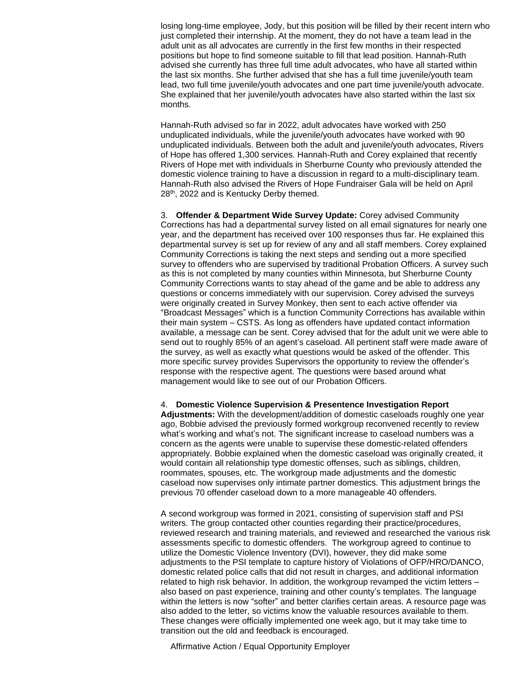losing long-time employee, Jody, but this position will be filled by their recent intern who just completed their internship. At the moment, they do not have a team lead in the adult unit as all advocates are currently in the first few months in their respected positions but hope to find someone suitable to fill that lead position. Hannah-Ruth advised she currently has three full time adult advocates, who have all started within the last six months. She further advised that she has a full time juvenile/youth team lead, two full time juvenile/youth advocates and one part time juvenile/youth advocate. She explained that her juvenile/youth advocates have also started within the last six months.

Hannah-Ruth advised so far in 2022, adult advocates have worked with 250 unduplicated individuals, while the juvenile/youth advocates have worked with 90 unduplicated individuals. Between both the adult and juvenile/youth advocates, Rivers of Hope has offered 1,300 services. Hannah-Ruth and Corey explained that recently Rivers of Hope met with individuals in Sherburne County who previously attended the domestic violence training to have a discussion in regard to a multi-disciplinary team. Hannah-Ruth also advised the Rivers of Hope Fundraiser Gala will be held on April 28th, 2022 and is Kentucky Derby themed.

3. **Offender & Department Wide Survey Update:** Corey advised Community Corrections has had a departmental survey listed on all email signatures for nearly one year, and the department has received over 100 responses thus far. He explained this departmental survey is set up for review of any and all staff members. Corey explained Community Corrections is taking the next steps and sending out a more specified survey to offenders who are supervised by traditional Probation Officers. A survey such as this is not completed by many counties within Minnesota, but Sherburne County Community Corrections wants to stay ahead of the game and be able to address any questions or concerns immediately with our supervision. Corey advised the surveys were originally created in Survey Monkey, then sent to each active offender via "Broadcast Messages" which is a function Community Corrections has available within their main system – CSTS. As long as offenders have updated contact information available, a message can be sent. Corey advised that for the adult unit we were able to send out to roughly 85% of an agent's caseload. All pertinent staff were made aware of the survey, as well as exactly what questions would be asked of the offender. This more specific survey provides Supervisors the opportunity to review the offender's response with the respective agent. The questions were based around what management would like to see out of our Probation Officers.

#### 4. **Domestic Violence Supervision & Presentence Investigation Report**

**Adjustments:** With the development/addition of domestic caseloads roughly one year ago, Bobbie advised the previously formed workgroup reconvened recently to review what's working and what's not. The significant increase to caseload numbers was a concern as the agents were unable to supervise these domestic-related offenders appropriately. Bobbie explained when the domestic caseload was originally created, it would contain all relationship type domestic offenses, such as siblings, children, roommates, spouses, etc. The workgroup made adjustments and the domestic caseload now supervises only intimate partner domestics. This adjustment brings the previous 70 offender caseload down to a more manageable 40 offenders.

A second workgroup was formed in 2021, consisting of supervision staff and PSI writers. The group contacted other counties regarding their practice/procedures, reviewed research and training materials, and reviewed and researched the various risk assessments specific to domestic offenders. The workgroup agreed to continue to utilize the Domestic Violence Inventory (DVI), however, they did make some adjustments to the PSI template to capture history of Violations of OFP/HRO/DANCO, domestic related police calls that did not result in charges, and additional information related to high risk behavior. In addition, the workgroup revamped the victim letters – also based on past experience, training and other county's templates. The language within the letters is now "softer" and better clarifies certain areas. A resource page was also added to the letter, so victims know the valuable resources available to them. These changes were officially implemented one week ago, but it may take time to transition out the old and feedback is encouraged.

Affirmative Action / Equal Opportunity Employer